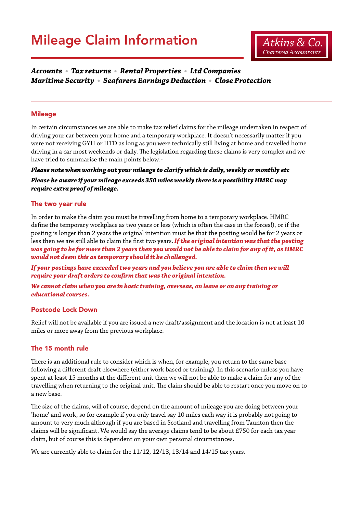

### *Accounts • Tax returns • Rental Properties • Ltd Companies Maritime Security • Seafarers Earnings Deduction • Close Protection*

### **Mileage**

In certain circumstances we are able to make tax relief claims for the mileage undertaken in respect of driving your car between your home and a temporary workplace. It doesn't necessarily matter if you were not receiving GYH or HTD as long as you were technically still living at home and travelled home driving in a car most weekends or daily. The legislation regarding these claims is very complex and we have tried to summarise the main points below:-

### *Please note when working out your mileage to clarify which is daily, weekly or monthly etc Please be aware if your mileage exceeds 350 miles weekly there is a possibility HMRC may require extra proof of mileage.*

### The two year rule

In order to make the claim you must be travelling from home to a temporary workplace. HMRC define the temporary workplace as two years or less (which is often the case in the forces!), or if the posting is longer than 2 years the original intention must be that the posting would be for 2 years or less then we are still able to claim the first two years.*If the original intention was that the posting was going to be for more than 2 years then you would not be able to claim for any of it, as HMRC would not deem this as temporary should it be challenged.*

*If your postings have exceeded two years and you believe you are able to claim then we will require your draft orders to confirm that was the original intention.*

*We cannot claim when you are in basic training, overseas, on leave or on any training or educational courses.*

### Postcode Lock Down

Relief will not be available if you are issued a new draft/assignment and the location is not at least 10 miles or more away from the previous workplace.

### The 15 month rule

There is an additional rule to consider which is when, for example, you return to the same base following a different draft elsewhere (either work based or training). In this scenario unless you have spent at least 15 months at the different unit then we will not be able to make a claim for any of the travelling when returning to the original unit. The claim should be able to restart once you move on to a new base.

The size of the claims, will of course, depend on the amount of mileage you are doing between your 'home' and work, so for example if you only travel say 10 miles each way it is probably not going to amount to very much although if you are based in Scotland and travelling from Taunton then the claims will be significant. We would say the average claims tend to be about £750 for each tax year claim, but of course this is dependent on your own personal circumstances.

We are currently able to claim for the 11/12, 12/13, 13/14 and 14/15 tax years.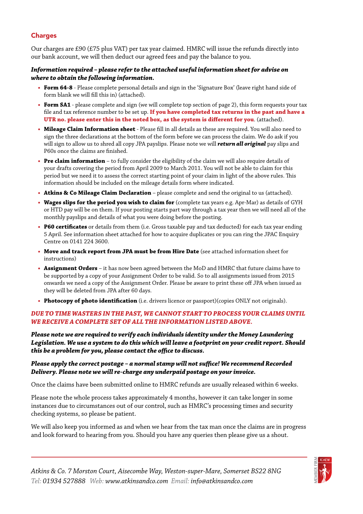### Charges

Our charges are £90 (£75 plus VAT) per tax year claimed. HMRC will issue the refunds directly into our bank account, we will then deduct our agreed fees and pay the balance to you.

### *Information required – please refer to the attached useful information sheet for advise on where to obtain the following information.*

- **• Form 64-8** Please complete personal details and sign in the 'Signature Box' (leave right hand side of form blank we will fill this in) (attached).
- **• Form SA1** please complete and sign (we will complete top section of page 2), this form requests your tax file and tax reference number to be set up. **If you have completed tax returns in the past and have a UTR no. please enter this in the noted box, as the system is different for you**. (attached).
- **• Mileage Claim Information sheet**  Please fill in all details as these are required. You will also need to sign the three declarations at the bottom of the form before we can process the claim. We do ask if you will sign to allow us to shred all copy JPA payslips. Please note we will *return all original* pay slips and P60s once the claims are finished.
- **• Pre claim information**  to fully consider the eligibility of the claim we will also require details of your drafts covering the period from April 2009 to March 2011. You will not be able to claim for this period but we need it to assess the correct starting point of your claim in light of the above rules. This information should be included on the mileage details form where indicated.
- **• Atkins & Co Mileage Claim Declaration** please complete and send the original to us (attached).
- **• Wages slips for the period you wish to claim for** (complete tax years e.g. Apr-Mar) as details of GYH or HTD pay will be on them. If your posting starts part way through a tax year then we will need all of the monthly payslips and details of what you were doing before the posting.
- **• P60 certificates** or details from them (i.e. Gross taxable pay and tax deducted) for each tax year ending 5 April. See information sheet attached for how to acquire duplicates or you can ring the JPAC Enquiry Centre on 0141 224 3600.
- **• Move and track report from JPA must be from Hire Date** (see attached information sheet for instructions)
- **• Assignment Orders** it has now been agreed between the MoD and HMRC that future claims have to be supported by a copy of your Assignment Order to be valid. So to all assignments issued from 2015 onwards we need a copy of the Assignment Order. Please be aware to print these off JPA when issued as they will be deleted from JPA after 60 days.
- **• Photocopy of photo identification** (i.e. drivers licence or passport)(copies ONLY not originals).

### *DUE TO TIME WASTERS IN THE PAST, WE CANNOT START TO PROCESS YOUR CLAIMS UNTIL WE RECEIVE A COMPLETE SET OF ALL THE INFORMATION LISTED ABOVE.*

*Please note we are required to verify each individuals identity under the Money Laundering Legislation. We use a system to do this which will leave a footprint on your credit report. Should this be a problem for you, please contact the office to discuss.*

### *Please apply the correct postage – a normal stamp will not suffice! We recommend Recorded Delivery. Please note we will re-charge any underpaid postage on your invoice.*

Once the claims have been submitted online to HMRC refunds are usually released within 6 weeks.

Please note the whole process takes approximately 4 months, however it can take longer in some instances due to circumstances out of our control, such as HMRC's processing times and security checking systems, so please be patient.

We will also keep you informed as and when we hear from the tax man once the claims are in progress and look forward to hearing from you. Should you have any queries then please give us a shout.

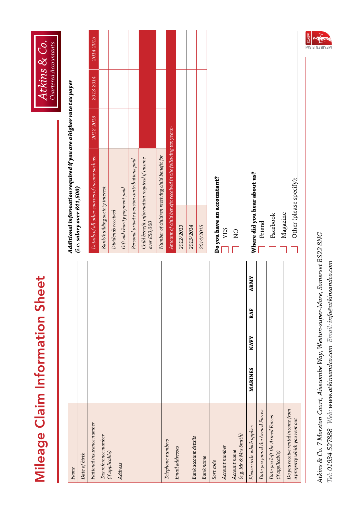# **Mileage Claim Information Sheet** Mileage Claim Information Sheet



| Name                                                               |         |             |     |             | Additional information required if yo |                                                  |
|--------------------------------------------------------------------|---------|-------------|-----|-------------|---------------------------------------|--------------------------------------------------|
| Date of birth                                                      |         |             |     |             | (i.e. salary over £41,500)            |                                                  |
| National insurance number                                          |         |             |     |             |                                       | Details of all other sources of income such as:- |
| Tax reference number                                               |         |             |     |             | Bank/building society interest        |                                                  |
| (if applicable)                                                    |         |             |     |             | Dividends received                    |                                                  |
| Address                                                            |         |             |     |             | Gift aid charity payment paid         |                                                  |
|                                                                    |         |             |     |             |                                       | Personal private pension contributions paid      |
|                                                                    |         |             |     |             | over £50,000                          | Child benefit information required if income     |
|                                                                    |         |             |     |             |                                       | Number of children receiving child benefit for   |
| Telephone numbers                                                  |         |             |     |             |                                       | Amount of child benefit received in the follow:  |
| Email addresses                                                    |         |             |     |             | 2012/2013                             |                                                  |
| Bank account details                                               |         |             |     |             | 2013/2014                             |                                                  |
| <b>Bank</b> name                                                   |         |             |     |             | 2014/2015                             |                                                  |
| Sort code                                                          |         |             |     |             | Do you have an accountant?            |                                                  |
| Account number                                                     |         |             |     |             | <b>ZES</b>                            |                                                  |
| (e.g. Mr & Mrs Smith)<br>Account name                              |         |             |     |             | $\overline{Q}$                        |                                                  |
| Please circle which applies                                        | MARINES | <b>NAVY</b> | RAF | <b>ARMY</b> | Where did you hear about us?          |                                                  |
| Date you joined the Armed Forces                                   |         |             |     |             | Friend                                |                                                  |
| Forces<br>Date you left the Armed<br>(if applicable)               |         |             |     |             | Facebook                              |                                                  |
| Do you receive rental income from<br>a property which you rent out |         |             |     |             | Other (please specify):<br>Magazine   |                                                  |

Atkins & Co. 7 Morston Court, Aisecombe Way, Weston-super-Mare, Somerset BS22 8NG *Atkins & Co. 7 Morston Court, Aisecombe Way, Weston-super-Mare, Somerset BS22 8NG* Tel: 01934 527888 Web: www.atkinsandco.com Email: info@atkinsandco.com *Tel: 01934 527888 Web: www.atkinsandco.com Email: info@atkinsandco.com*

ou are a higher rate tax payer *Additional information required if you are a higher rate tax payer* 

| ional insurance number                                      |                |             |     |             |                                | Details of all other sources of income such as:-              | 2012-2013 | 2013-2014 | 2014-2015 |
|-------------------------------------------------------------|----------------|-------------|-----|-------------|--------------------------------|---------------------------------------------------------------|-----------|-----------|-----------|
| reference number                                            |                |             |     |             | Bank/building society interest |                                                               |           |           |           |
| <i>applicable</i> )                                         |                |             |     |             | Dividends received             |                                                               |           |           |           |
| <i>dress</i>                                                |                |             |     |             | Gift aid charity payment paid  |                                                               |           |           |           |
|                                                             |                |             |     |             |                                | Personal private pension contributions paid                   |           |           |           |
|                                                             |                |             |     |             | over £50,000                   | Child benefit information required if income                  |           |           |           |
|                                                             |                |             |     |             |                                | Number of children receiving child benefit for                |           |           |           |
| ephone numbers                                              |                |             |     |             |                                | Amount of child benefit received in the following tax years:- |           |           |           |
| ail addresses                                               |                |             |     |             | 2012/2013                      |                                                               |           |           |           |
| account details                                             |                |             |     |             | 2013/2014                      |                                                               |           |           |           |
| ik name                                                     |                |             |     |             | 2014/2015                      |                                                               |           |           |           |
| t code                                                      |                |             |     |             | Do you have an accountant?     |                                                               |           |           |           |
| ount number                                                 |                |             |     |             | <b>YES</b>                     |                                                               |           |           |           |
| Mr & Mrs Smith)<br>ount name                                |                |             |     |             | $\overline{N}$                 |                                                               |           |           |           |
| ase circle which applies                                    | <b>MARINES</b> | <b>NAVY</b> | RAF | <b>ARMY</b> | Where did you hear about us?   |                                                               |           |           |           |
| e you joined the Armed Forces                               |                |             |     |             | Friend                         |                                                               |           |           |           |
| e you left the Armed Forces<br><i>applicable</i> )          |                |             |     |             | Magazine<br>Facebook           |                                                               |           |           |           |
| you receive rental income from<br>operty which you rent out |                |             |     |             | Other (please specify):        |                                                               |           |           |           |

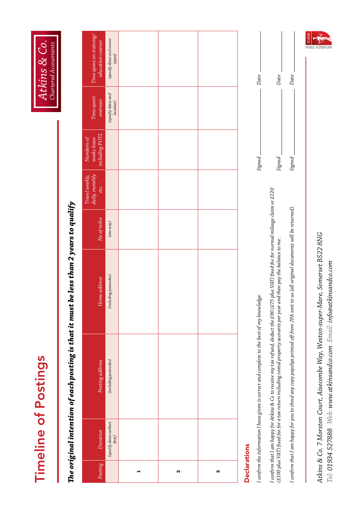**Timeline of Postings** Timeline of Postings

*Atkins & Co. Chartered Accountants*

# The original intention of each posting is that it must be less than 2 years to qualify *The original intention of each posting is that it must be less than 2 years to qualify*

| Posting             | Duration                            | Posting address                                                                             | Home address          | No of miles | daily, monthly<br>Travel weekly,<br>etc. | including POTL<br>Numbers of<br>weeks leave | Time spent<br>overseas          | Time spent on training/<br>education courses |
|---------------------|-------------------------------------|---------------------------------------------------------------------------------------------|-----------------------|-------------|------------------------------------------|---------------------------------------------|---------------------------------|----------------------------------------------|
|                     | $(specify\,dates\,earliest\,first)$ | (including postcodes)                                                                       | (including postcodes) | $(one way)$ |                                          |                                             | (specify dates and<br>location) | (specify dates and course<br>types)          |
| ⊣                   |                                     |                                                                                             |                       |             |                                          |                                             |                                 |                                              |
| $\sim$              |                                     |                                                                                             |                       |             |                                          |                                             |                                 |                                              |
| m                   |                                     |                                                                                             |                       |             |                                          |                                             |                                 |                                              |
| <b>Declarations</b> |                                     | I confirm the information I have given is correct and complete to the best of my knowledge. |                       |             |                                          | Signed <sub>-</sub>                         |                                 | Date                                         |

*Signed Date* Signed I confirm that I am happy for Atkins & Co to receive my tax refund, deduct the £90 (£75 plus VAT) fixed fee for normal mileage claim or £120<br>(£100 plus VAT) fixed fee for a tax return including rental property accounts per *I confirm that I am happy for Atkins & Co to receive my tax refund, deduct the £90 (£75 plus VAT) fixed fee for normal mileage claim or £120 (£100 plus VAT) fixed fee for a tax return including rental property accounts per year and then pay the balance to me.*

I confirm that I am happy for you to shred any copy payslips printed off from JPA sent to us (all original documents will be returned). *I confirm that I am happy for you to shred any copy payslips printed off from JPA sent to us (all original documents will be returned).*

Atkins & Co. 7 Morston Court, Aisecombe Way, Weston-super-Mare, Somerset BS22 8NG *Atkins & Co. 7 Morston Court, Aisecombe Way, Weston-super-Mare, Somerset BS22 8NG* Tel: 01934 527888 Web: www.atkinsandco.com Email: info@atkinsandco.com *Tel: 01934 527888 Web: www.atkinsandco.com Email: info@atkinsandco.com*



*Signed Date*

Signed

Date

Date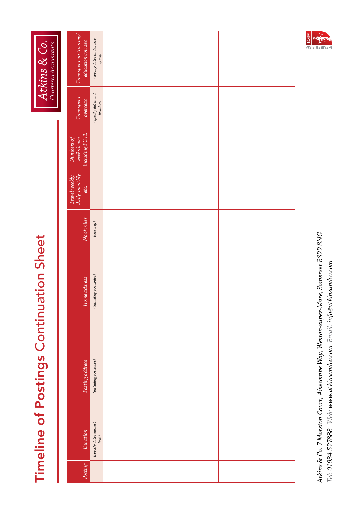| Atkins & Co.<br>Chartered Accountants   | Time spent on training/<br>education courses | (specify dates and course)<br>types)                                                       |  |  | $\sum_{k\in\mathbb{Z}}$ ICAEW |
|-----------------------------------------|----------------------------------------------|--------------------------------------------------------------------------------------------|--|--|-------------------------------|
|                                         | Time spent<br>overseas                       | (specify dates and<br>location)                                                            |  |  |                               |
|                                         | including POTL<br>weeks leave<br>Numbers of  |                                                                                            |  |  |                               |
|                                         | daily, monthly<br>Travel weekly,<br>etc.     |                                                                                            |  |  |                               |
|                                         | No of miles                                  | $\left( \text{one way} \right)$                                                            |  |  |                               |
|                                         | Home address                                 | (including postcodes)                                                                      |  |  |                               |
| Timeline of Postings Continuation Sheet | Posting address                              | (including postcodes)                                                                      |  |  |                               |
|                                         | Duration                                     | $\begin{array}{c} \text{(specific)} \textit{dates earliest} \\ \textit{first} \end{array}$ |  |  |                               |
|                                         | Posting                                      |                                                                                            |  |  |                               |

Atkins & Co. 7 Morston Court, Aisecombe Way, Weston-super-Mare, Somerset BS22 8NG *Atkins & Co. 7 Morston Court, Aisecombe Way, Weston-super-Mare, Somerset BS22 8NG* Tel: 01934 527888 Web: www.atkinsandco.com Email: info@atkinsandco.com *Tel: 01934 527888 Web: www.atkinsandco.com Email: info@atkinsandco.com*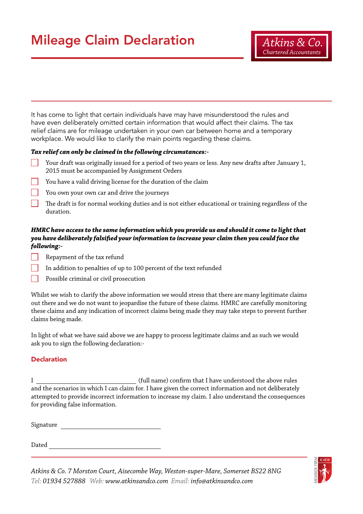## Mileage Claim Declaration

It has come to light that certain individuals have may have misunderstood the rules and have even deliberately omitted certain information that would affect their claims. The tax relief claims are for mileage undertaken in your own car between home and a temporary workplace. We would like to clarify the main points regarding these claims.

### *Tax relief can only be claimed in the following circumstances:-*

- Your draft was originally issued for a period of two years or less. Any new drafts after January 1, 2015 must be accompanied by Assignment Orders
- You have a valid driving license for the duration of the claim
- You own your own car and drive the journeys
- The draft is for normal working duties and is not either educational or training regardless of the duration.

### *HMRC have access to the same information which you provide us and should it come to light that you have deliberately falsified your information to increase your claim then you could face the following:-*

- Repayment of the tax refund
- In addition to penalties of up to 100 percent of the text refunded
- Possible criminal or civil prosecution

Whilst we wish to clarify the above information we would stress that there are many legitimate claims out there and we do not want to jeopardise the future of these claims. HMRC are carefully monitoring these claims and any indication of incorrect claims being made they may take steps to prevent further claims being made.

In light of what we have said above we are happy to process legitimate claims and as such we would ask you to sign the following declaration:-

### **Declaration**

I (full name) confirm that I have understood the above rules and the scenarios in which I can claim for. I have given the correct information and not deliberately attempted to provide incorrect information to increase my claim. I also understand the consequences for providing false information.

Signature

Dated



*Atkins & Co. 7 Morston Court, Aisecombe Way, Weston-super-Mare, Somerset BS22 8NG Tel: 01934 527888 Web: www.atkinsandco.com Email: info@atkinsandco.com*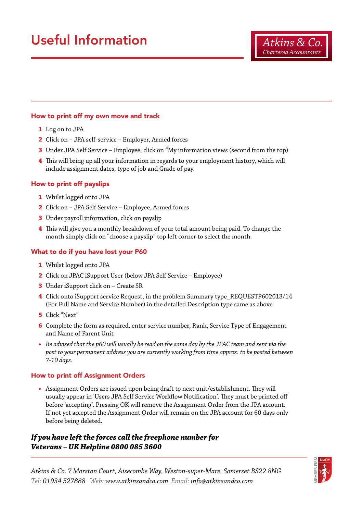# Useful Information

### How to print off my own move and track

- **1** Log on to JPA
- **2** Click on JPA self-service Employer, Armed forces
- **3** Under JPA Self Service Employee, click on "My information views (second from the top)
- **4** This will bring up all your information in regards to your employment history, which will include assignment dates, type of job and Grade of pay.

### How to print off payslips

- **1** Whilst logged onto JPA
- **2** Click on JPA Self Service Employee, Armed forces
- **3** Under payroll information, click on payslip
- **4** This will give you a monthly breakdown of your total amount being paid. To change the month simply click on "choose a payslip" top left corner to select the month.

### What to do if you have lost your P60

- **1** Whilst logged onto JPA
- **2** Click on JPAC iSupport User (below JPA Self Service Employee)
- **3** Under iSupport click on Create SR
- **4** Click onto iSupport service Request, in the problem Summary type\_REQUESTP602013/14 (For Full Name and Service Number) in the detailed Description type same as above.
- **5** Click "Next"
- **6** Complete the form as required, enter service number, Rank, Service Type of Engagement and Name of Parent Unit
- **•** *Be advised that the p60 will usually be read on the same day by the JPAC team and sent via the post to your permanent address you are currently working from time approx. to be posted between 7-10 days.*

### How to print off Assignment Orders

**•** Assignment Orders are issued upon being draft to next unit/establishment. They will usually appear in 'Users JPA Self Service Workflow Notification'. They must be printed off before 'accepting'. Pressing OK will remove the Assignment Order from the JPA account. If not yet accepted the Assignment Order will remain on the JPA account for 60 days only before being deleted.

### *If you have left the forces call the freephone number for Veterans – UK Helpline 0800 085 3600*

*Atkins & Co. 7 Morston Court, Aisecombe Way, Weston-super-Mare, Somerset BS22 8NG Tel: 01934 527888 Web: www.atkinsandco.com Email: info@atkinsandco.com*